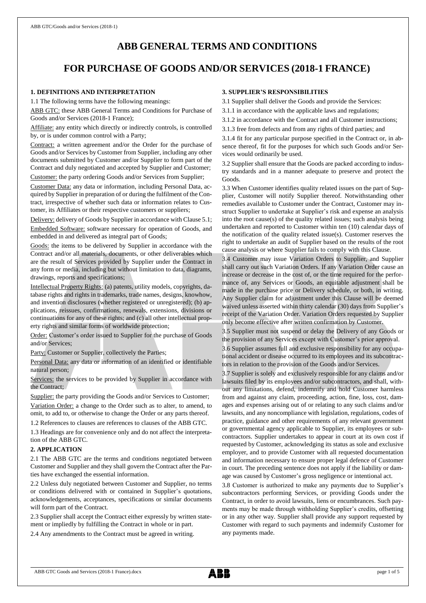# **ABB GENERAL TERMS AND CONDITIONS**

# **FOR PURCHASE OF GOODS AND/OR SERVICES (2018-1 FRANCE)**

## **1. DEFINITIONS AND INTERPRETATION**

1.1 The following terms have the following meanings:

ABB GTC: these ABB General Terms and Conditions for Purchase of Goods and/or Services (2018-1 France);

Affiliate: any entity which directly or indirectly controls, is controlled by, or is under common control with a Party;

Contract: a written agreement and/or the Order for the purchase of Goods and/or Services by Customer from Supplier, including any other documents submitted by Customer and/or Supplier to form part of the Contract and duly negotiated and accepted by Supplier and Customer;

Customer: the party ordering Goods and/or Services from Supplier;

Customer Data: any data or information, including Personal Data, acquired by Supplier in preparation of or during the fulfilment of the Contract, irrespective of whether such data or information relates to Customer, its Affiliates or their respective customers or suppliers;

Delivery: delivery of Goods by Supplier in accordance with Clause 5.1; Embedded Software: software necessary for operation of Goods, and embedded in and delivered as integral part of Goods;

Goods: the items to be delivered by Supplier in accordance with the Contract and/or all materials, documents, or other deliverables which are the result of Services provided by Supplier under the Contract in any form or media, including but without limitation to data, diagrams, drawings, reports and specifications;

Intellectual Property Rights: (a) patents, utility models, copyrights, database rights and rights in trademarks, trade names, designs, knowhow, and invention disclosures (whether registered or unregistered); (b) applications, reissues, confirmations, renewals, extensions, divisions or continuations for any of these rights; and (c) all other intellectual property rights and similar forms of worldwide protection;

Order: Customer's order issued to Supplier for the purchase of Goods and/or Services;

Party: Customer or Supplier, collectively the Parties;

Personal Data: any data or information of an identified or identifiable natural person;

Services: the services to be provided by Supplier in accordance with the Contract;

Supplier: the party providing the Goods and/or Services to Customer; Variation Order: a change to the Order such as to alter, to amend, to omit, to add to, or otherwise to change the Order or any parts thereof.

1.2 References to clauses are references to clauses of the ABB GTC.

1.3 Headings are for convenience only and do not affect the interpretation of the ABB GTC.

## **2. APPLICATION**

2.1 The ABB GTC are the terms and conditions negotiated between Customer and Supplier and they shall govern the Contract after the Parties have exchanged the essential information.

2.2 Unless duly negotiated between Customer and Supplier, no terms or conditions delivered with or contained in Supplier's quotations, acknowledgements, acceptances, specifications or similar documents will form part of the Contract.

2.3 Supplier shall accept the Contract either expressly by written statement or impliedly by fulfilling the Contract in whole or in part.

2.4 Any amendments to the Contract must be agreed in writing.

## **3. SUPPLIER'S RESPONSIBILITIES**

3.1 Supplier shall deliver the Goods and provide the Services:

3.1.1 in accordance with the applicable laws and regulations;

- 3.1.2 in accordance with the Contract and all Customer instructions;
- 3.1.3 free from defects and from any rights of third parties; and

3.1.4 fit for any particular purpose specified in the Contract or, in absence thereof, fit for the purposes for which such Goods and/or Services would ordinarily be used.

3.2 Supplier shall ensure that the Goods are packed according to industry standards and in a manner adequate to preserve and protect the Goods.

3.3 When Customer identifies quality related issues on the part of Supplier, Customer will notify Supplier thereof. Notwithstanding other remedies available to Customer under the Contract, Customer may instruct Supplier to undertake at Supplier's risk and expense an analysis into the root cause(s) of the quality related issues; such analysis being undertaken and reported to Customer within ten (10) calendar days of the notification of the quality related issue(s). Customer reserves the right to undertake an audit of Supplier based on the results of the root cause analysis or where Supplier fails to comply with this Clause.

3.4 Customer may issue Variation Orders to Supplier, and Supplier shall carry out such Variation Orders. If any Variation Order cause an increase or decrease in the cost of, or the time required for the performance of, any Services or Goods, an equitable adjustment shall be made in the purchase price or Delivery schedule, or both, in writing. Any Supplier claim for adjustment under this Clause will be deemed waived unless asserted within thirty calendar (30) days from Supplier's receipt of the Variation Order. Variation Orders requested by Supplier only become effective after written confirmation by Customer.

3.5 Supplier must not suspend or delay the Delivery of any Goods or the provision of any Services except with Customer's prior approval.

3.6 Supplier assumes full and exclusive responsibility for any occupational accident or disease occurred to its employees and its subcontractors in relation to the provision of the Goods and/or Services.

3.7 Supplier is solely and exclusively responsible for any claims and/or lawsuits filed by its employees and/or subcontractors, and shall, without any limitations, defend, indemnify and hold Customer harmless from and against any claim, proceeding, action, fine, loss, cost, damages and expenses arising out of or relating to any such claims and/or lawsuits, and any noncompliance with legislation, regulations, codes of practice, guidance and other requirements of any relevant government or governmental agency applicable to Supplier, its employees or subcontractors. Supplier undertakes to appear in court at its own cost if requested by Customer, acknowledging its status as sole and exclusive employer, and to provide Customer with all requested documentation and information necessary to ensure proper legal defence of Customer in court. The preceding sentence does not apply if the liability or damage was caused by Customer's gross negligence or intentional act.

3.8 Customer is authorized to make any payments due to Supplier's subcontractors performing Services, or providing Goods under the Contract, in order to avoid lawsuits, liens or encumbrances. Such payments may be made through withholding Supplier's credits, offsetting or in any other way. Supplier shall provide any support requested by Customer with regard to such payments and indemnify Customer for any payments made.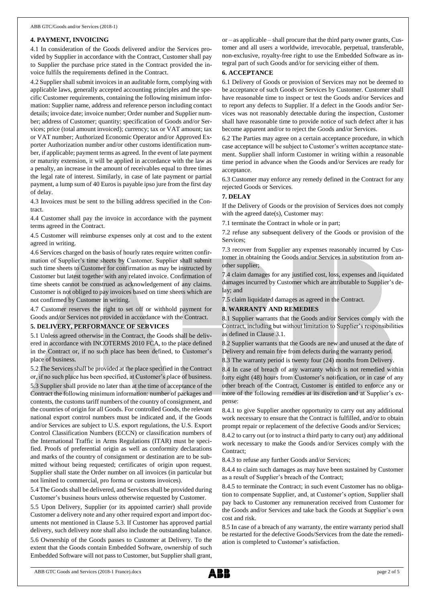## **4. PAYMENT, INVOICING**

4.1 In consideration of the Goods delivered and/or the Services provided by Supplier in accordance with the Contract, Customer shall pay to Supplier the purchase price stated in the Contract provided the invoice fulfils the requirements defined in the Contract.

4.2 Supplier shall submit invoices in an auditable form, complying with applicable laws, generally accepted accounting principles and the specific Customer requirements, containing the following minimum information: Supplier name, address and reference person including contact details; invoice date; invoice number; Order number and Supplier number; address of Customer; quantity; specification of Goods and/or Services; price (total amount invoiced); currency; tax or VAT amount; tax or VAT number; Authorized Economic Operator and/or Approved Exporter Authorization number and/or other customs identification number, if applicable; payment terms as agreed. In the event of late payment or maturity extension, it will be applied in accordance with the law as a penalty, an increase in the amount of receivables equal to three times the legal rate of interest. Similarly, in case of late payment or partial payment, a lump sum of 40 Euros is payable ipso jure from the first day of delay.

4.3 Invoices must be sent to the billing address specified in the Contract.

4.4 Customer shall pay the invoice in accordance with the payment terms agreed in the Contract.

4.5 Customer will reimburse expenses only at cost and to the extent agreed in writing.

4.6 Services charged on the basis of hourly rates require written confirmation of Supplier's time sheets by Customer. Supplier shall submit such time sheets to Customer for confirmation as may be instructed by Customer but latest together with any related invoice. Confirmation of time sheets cannot be construed as acknowledgement of any claims. Customer is not obliged to pay invoices based on time sheets which are not confirmed by Customer in writing.

4.7 Customer reserves the right to set off or withhold payment for Goods and/or Services not provided in accordance with the Contract.

## **5. DELIVERY, PERFORMANCE OF SERVICES**

5.1 Unless agreed otherwise in the Contract, the Goods shall be delivered in accordance with INCOTERMS 2010 FCA, to the place defined in the Contract or, if no such place has been defined, to Customer's place of business.

5.2 The Services shall be provided at the place specified in the Contract or, if no such place has been specified, at Customer's place of business.

5.3 Supplier shall provide no later than at the time of acceptance of the Contract the following minimum information: number of packages and contents, the customs tariff numbers of the country of consignment, and the countries of origin for all Goods. For controlled Goods, the relevant national export control numbers must be indicated and, if the Goods and/or Services are subject to U.S. export regulations, the U.S. Export Control Classification Numbers (ECCN) or classification numbers of the International Traffic in Arms Regulations (ITAR) must be specified. Proofs of preferential origin as well as conformity declarations and marks of the country of consignment or destination are to be submitted without being requested; certificates of origin upon request. Supplier shall state the Order number on all invoices (in particular but not limited to commercial, pro forma or customs invoices).

5.4 The Goods shall be delivered, and Services shall be provided during Customer's business hours unless otherwise requested by Customer.

5.5 Upon Delivery, Supplier (or its appointed carrier) shall provide Customer a delivery note and any other required export and import documents not mentioned in Clause 5.3. If Customer has approved partial delivery, such delivery note shall also include the outstanding balance. 5.6 Ownership of the Goods passes to Customer at Delivery. To the extent that the Goods contain Embedded Software, ownership of such Embedded Software will not passto Customer, but Supplier shall grant, or – as applicable – shall procure that the third party owner grants, Customer and all users a worldwide, irrevocable, perpetual, transferable, non-exclusive, royalty-free right to use the Embedded Software as integral part of such Goods and/or for servicing either of them.

## **6. ACCEPTANCE**

6.1 Delivery of Goods or provision of Services may not be deemed to be acceptance of such Goods or Services by Customer. Customer shall have reasonable time to inspect or test the Goods and/or Services and to report any defects to Supplier. If a defect in the Goods and/or Services was not reasonably detectable during the inspection, Customer shall have reasonable time to provide notice of such defect after it has become apparent and/or to reject the Goods and/or Services.

6.2 The Parties may agree on a certain acceptance procedure, in which case acceptance will be subject to Customer's written acceptance statement. Supplier shall inform Customer in writing within a reasonable time period in advance when the Goods and/or Services are ready for acceptance.

6.3 Customer may enforce any remedy defined in the Contract for any rejected Goods or Services.

## **7. DELAY**

If the Delivery of Goods or the provision of Services does not comply with the agreed date(s), Customer may:

7.1 terminate the Contract in whole or in part;

7.2 refuse any subsequent delivery of the Goods or provision of the Services;

7.3 recover from Supplier any expenses reasonably incurred by Customer in obtaining the Goods and/or Services in substitution from another supplier;

7.4 claim damages for any justified cost, loss, expenses and liquidated damages incurred by Customer which are attributable to Supplier's delay; and

7.5 claim liquidated damages as agreed in the Contract.

## **8. WARRANTY AND REMEDIES**

8.1 Supplier warrants that the Goods and/or Services comply with the Contract, including but without limitation to Supplier's responsibilities as defined in Clause 3.1.

8.2 Supplier warrants that the Goods are new and unused at the date of Delivery and remain free from defects during the warranty period.

8.3 The warranty period is twenty four (24) months from Delivery.

8.4 In case of breach of any warranty which is not remedied within forty eight (48) hours from Customer's notification, or in case of any other breach of the Contract, Customer is entitled to enforce any or more of the following remedies at its discretion and at Supplier's expense:

8.4.1 to give Supplier another opportunity to carry out any additional work necessary to ensure that the Contract is fulfilled, and/or to obtain prompt repair or replacement of the defective Goods and/or Services;

8.4.2 to carry out (or to instruct a third party to carry out) any additional work necessary to make the Goods and/or Services comply with the Contract;

8.4.3 to refuse any further Goods and/or Services;

8.4.4 to claim such damages as may have been sustained by Customer as a result of Supplier's breach of the Contract;

8.4.5 to terminate the Contract; in such event Customer has no obligation to compensate Supplier, and, at Customer's option, Supplier shall pay back to Customer any remuneration received from Customer for the Goods and/or Services and take back the Goods at Supplier's own cost and risk.

8.5 In case of a breach of any warranty, the entire warranty period shall be restarted for the defective Goods/Services from the date the remediation is completed to Customer's satisfaction.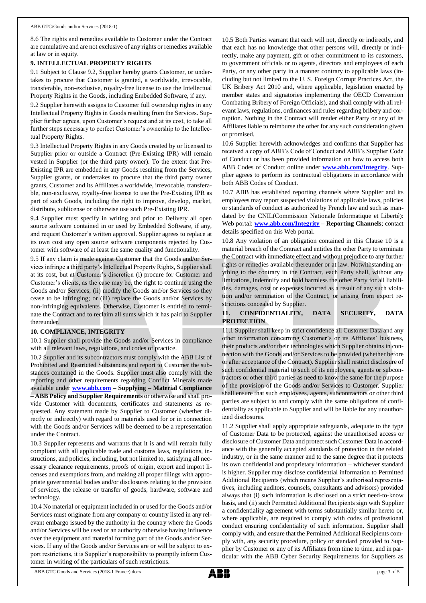8.6 The rights and remedies available to Customer under the Contract are cumulative and are not exclusive of any rights or remedies available at law or in equity.

## **9. INTELLECTUAL PROPERTY RIGHTS**

9.1 Subject to Clause 9.2, Supplier hereby grants Customer, or undertakes to procure that Customer is granted, a worldwide, irrevocable, transferable, non-exclusive, royalty-free license to use the Intellectual Property Rights in the Goods, including Embedded Software, if any.

9.2 Supplier herewith assigns to Customer full ownership rights in any Intellectual Property Rights in Goods resulting from the Services. Supplier further agrees, upon Customer's request and at its cost, to take all further steps necessary to perfect Customer's ownership to the Intellectual Property Rights.

9.3 Intellectual Property Rights in any Goods created by or licensed to Supplier prior or outside a Contract (Pre-Existing IPR) will remain vested in Supplier (or the third party owner). To the extent that Pre-Existing IPR are embedded in any Goods resulting from the Services, Supplier grants, or undertakes to procure that the third party owner grants, Customer and its Affiliates a worldwide, irrevocable, transferable, non-exclusive, royalty-free license to use the Pre-Existing IPR as part of such Goods, including the right to improve, develop, market, distribute, sublicense or otherwise use such Pre-Existing IPR.

9.4 Supplier must specify in writing and prior to Delivery all open source software contained in or used by Embedded Software, if any, and request Customer's written approval. Supplier agrees to replace at its own cost any open source software components rejected by Customer with software of at least the same quality and functionality.

9.5 If any claim is made against Customer that the Goods and/or Services infringe a third party's Intellectual Property Rights, Supplier shall at its cost, but at Customer's discretion (i) procure for Customer and Customer's clients, as the case may be, the right to continue using the Goods and/or Services; (ii) modify the Goods and/or Services so they cease to be infringing; or (iii) replace the Goods and/or Services by non-infringing equivalents. Otherwise, Customer is entitled to terminate the Contract and to reclaim all sums which it has paid to Supplier thereunder.

## **10. COMPLIANCE, INTEGRITY**

10.1 Supplier shall provide the Goods and/or Services in compliance with all relevant laws, regulations, and codes of practice.

10.2 Supplier and its subcontractors must comply with the ABB List of Prohibited and Restricted Substances and report to Customer the substances contained in the Goods. Supplier must also comply with the reporting and other requirements regarding Conflict Minerals made available under **[www.abb.com](http://www.abb.com/) – Supplying – Material Compliance – ABB Policy and Supplier Requirements** or otherwise and shall provide Customer with documents, certificates and statements as requested. Any statement made by Supplier to Customer (whether directly or indirectly) with regard to materials used for or in connection with the Goods and/or Services will be deemed to be a representation under the Contract.

10.3 Supplier represents and warrants that it is and will remain fully compliant with all applicable trade and customs laws, regulations, instructions, and policies, including, but not limited to, satisfying all necessary clearance requirements, proofs of origin, export and import licenses and exemptions from, and making all proper filings with appropriate governmental bodies and/or disclosures relating to the provision of services, the release or transfer of goods, hardware, software and technology.

10.4 No material or equipment included in or used for the Goods and/or Services must originate from any company or country listed in any relevant embargo issued by the authority in the country where the Goods and/or Services will be used or an authority otherwise having influence over the equipment and material forming part of the Goods and/or Services. If any of the Goods and/or Services are or will be subject to export restrictions, it is Supplier's responsibility to promptly inform Customer in writing of the particulars of such restrictions.

10.5 Both Parties warrant that each will not, directly or indirectly, and that each has no knowledge that other persons will, directly or indirectly, make any payment, gift or other commitment to its customers, to government officials or to agents, directors and employees of each Party, or any other party in a manner contrary to applicable laws (including but not limited to the U. S. Foreign Corrupt Practices Act, the UK Bribery Act 2010 and, where applicable, legislation enacted by member states and signatories implementing the OECD Convention Combating Bribery of Foreign Officials), and shall comply with all relevant laws, regulations, ordinances and rules regarding bribery and corruption. Nothing in the Contract will render either Party or any of its Affiliates liable to reimburse the other for any such consideration given or promised.

10.6 Supplier herewith acknowledges and confirms that Supplier has received a copy of ABB's Code of Conduct and ABB's Supplier Code of Conduct or has been provided information on how to access both ABB Codes of Conduct online under **[www.abb.com/Integrity](http://www.abb.com/Integrity)**. Supplier agrees to perform its contractual obligations in accordance with both ABB Codes of Conduct.

10.7 ABB has established reporting channels where Supplier and its employees may report suspected violations of applicable laws, policies or standards of conduct as authorized by French law and such as mandated by the CNIL(Commission Nationale Informatique et Liberté): Web portal: **[www.abb.com/Integrity](http://www.abb.com/Integrity) – Reporting Channels**; contact details specified on this Web portal.

10.8 Any violation of an obligation contained in this Clause 10 is a material breach of the Contract and entitles the other Party to terminate the Contract with immediate effect and without prejudice to any further rights or remedies available thereunder or at law. Notwithstanding anything to the contrary in the Contract, each Party shall, without any limitations, indemnify and hold harmless the other Party for all liabilities, damages, cost or expenses incurred as a result of any such violation and/or termination of the Contract, or arising from export restrictions concealed by Supplier.

## **11. CONFIDENTIALITY, DATA SECURITY, DATA PROTECTION**

11.1 Supplier shall keep in strict confidence all Customer Data and any other information concerning Customer's or its Affiliates' business, their products and/or their technologies which Supplier obtains in connection with the Goods and/or Services to be provided (whether before or after acceptance of the Contract). Supplier shall restrict disclosure of such confidential material to such of its employees, agents or subcontractors or other third parties as need to know the same for the purpose of the provision of the Goods and/or Services to Customer. Supplier shall ensure that such employees, agents, subcontractors or other third parties are subject to and comply with the same obligations of confidentiality as applicable to Supplier and will be liable for any unauthorized disclosures.

11.2 Supplier shall apply appropriate safeguards, adequate to the type of Customer Data to be protected, against the unauthorised access or disclosure of Customer Data and protect such Customer Data in accordance with the generally accepted standards of protection in the related industry, or in the same manner and to the same degree that it protects its own confidential and proprietary information – whichever standard is higher. Supplier may disclose confidential information to Permitted Additional Recipients (which means Supplier's authorised representatives, including auditors, counsels, consultants and advisors) provided always that (i) such information is disclosed on a strict need-to-know basis, and (ii) such Permitted Additional Recipients sign with Supplier a confidentiality agreement with terms substantially similar hereto or, where applicable, are required to comply with codes of professional conduct ensuring confidentiality of such information. Supplier shall comply with, and ensure that the Permitted Additional Recipients comply with, any security procedure, policy or standard provided to Supplier by Customer or any of its Affiliates from time to time, and in particular with the ABB Cyber Security Requirements for Suppliers as

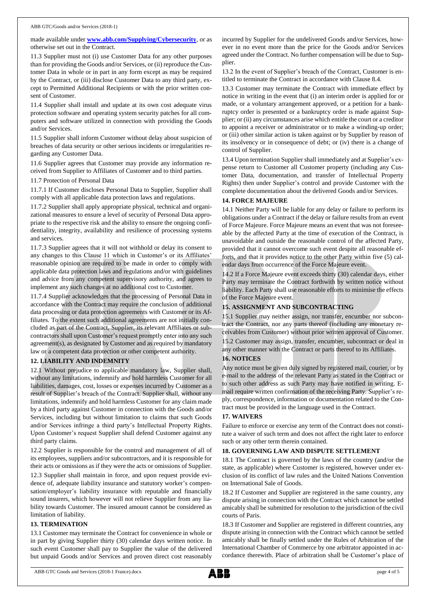made available under **[www.abb.com/Supplying/Cybersecurity](http://www.abb.com/Supplying/Cybersecurity)**, or as otherwise set out in the Contract.

11.3 Supplier must not (i) use Customer Data for any other purposes than for providing the Goods and/or Services, or (ii) reproduce the Customer Data in whole or in part in any form except as may be required by the Contract, or (iii) disclose Customer Data to any third party, except to Permitted Additional Recipients or with the prior written consent of Customer.

11.4 Supplier shall install and update at its own cost adequate virus protection software and operating system security patches for all computers and software utilized in connection with providing the Goods and/or Services.

11.5 Supplier shall inform Customer without delay about suspicion of breaches of data security or other serious incidents or irregularities regarding any Customer Data.

11.6 Supplier agrees that Customer may provide any information received from Supplier to Affiliates of Customer and to third parties.

11.7 Protection of Personal Data

11.7.1 If Customer discloses Personal Data to Supplier, Supplier shall comply with all applicable data protection laws and regulations.

11.7.2 Supplier shall apply appropriate physical, technical and organizational measures to ensure a level of security of Personal Data appropriate to the respective risk and the ability to ensure the ongoing confidentiality, integrity, availability and resilience of processing systems and services.

11.7.3 Supplier agrees that it will not withhold or delay its consent to any changes to this Clause 11 which in Customer's or its Affiliates' reasonable opinion are required to be made in order to comply with applicable data protection laws and regulations and/or with guidelines and advice from any competent supervisory authority, and agrees to implement any such changes at no additional cost to Customer.

11.7.4 Supplier acknowledges that the processing of Personal Data in accordance with the Contract may require the conclusion of additional data processing or data protection agreements with Customer or its Affiliates. To the extent such additional agreements are not initially concluded as part of the Contract, Supplier, its relevant Affiliates or subcontractors shall upon Customer's request promptly enter into any such agreement(s), as designated by Customer and as required by mandatory law or a competent data protection or other competent authority.

# **12. LIABILITY AND INDEMNITY**

12.1 Without prejudice to applicable mandatory law, Supplier shall, without any limitations, indemnify and hold harmless Customer for all liabilities, damages, cost, losses or expenses incurred by Customer as a result of Supplier's breach of the Contract. Supplier shall, without any limitations, indemnify and hold harmless Customer for any claim made by a third party against Customer in connection with the Goods and/or Services, including but without limitation to claims that such Goods and/or Services infringe a third party's Intellectual Property Rights. Upon Customer's request Supplier shall defend Customer against any third party claims.

12.2 Supplier is responsible for the control and management of all of its employees, suppliers and/or subcontractors, and it is responsible for their acts or omissions as if they were the acts or omissions of Supplier.

12.3 Supplier shall maintain in force, and upon request provide evidence of, adequate liability insurance and statutory worker's compensation/employer's liability insurance with reputable and financially sound insurers, which however will not relieve Supplier from any liability towards Customer. The insured amount cannot be considered as limitation of liability.

#### **13. TERMINATION**

13.1 Customer may terminate the Contract for convenience in whole or in part by giving Supplier thirty (30) calendar days written notice. In such event Customer shall pay to Supplier the value of the delivered but unpaid Goods and/or Services and proven direct cost reasonably

incurred by Supplier for the undelivered Goods and/or Services, however in no event more than the price for the Goods and/or Services agreed under the Contract. No further compensation will be due to Supplier.

13.2 In the event of Supplier's breach of the Contract, Customer is entitled to terminate the Contract in accordance with Clause 8.4.

13.3 Customer may terminate the Contract with immediate effect by notice in writing in the event that (i) an interim order is applied for or made, or a voluntary arrangement approved, or a petition for a bankruptcy order is presented or a bankruptcy order is made against Supplier; or (ii) any circumstances arise which entitle the court or a creditor to appoint a receiver or administrator or to make a winding-up order; or (iii) other similar action is taken against or by Supplier by reason of its insolvency or in consequence of debt; or (iv) there is a change of control of Supplier.

13.4 Upon termination Supplier shall immediately and at Supplier's expense return to Customer all Customer property (including any Customer Data, documentation, and transfer of Intellectual Property Rights) then under Supplier's control and provide Customer with the complete documentation about the delivered Goods and/or Services.

## **14. FORCE MAJEURE**

14.1 Neither Party will be liable for any delay or failure to perform its obligations under a Contract if the delay or failure results from an event of Force Majeure. Force Majeure means an event that was not foreseeable by the affected Party at the time of execution of the Contract, is unavoidable and outside the reasonable control of the affected Party, provided that it cannot overcome such event despite all reasonable efforts, and that it provides notice to the other Party within five (5) calendar days from occurrence of the Force Majeure event.

14.2 If a Force Majeure event exceeds thirty (30) calendar days, either Party may terminate the Contract forthwith by written notice without liability. Each Party shall use reasonable efforts to minimise the effects of the Force Majeure event.

## **15. ASSIGNMENT AND SUBCONTRACTING**

15.1 Supplier may neither assign, nor transfer, encumber nor subcontract the Contract, nor any parts thereof (including any monetary receivables from Customer) without prior written approval of Customer.

15.2 Customer may assign, transfer, encumber, subcontract or deal in any other manner with the Contract or parts thereof to its Affiliates.

## **16. NOTICES**

Any notice must be given duly signed by registered mail, courier, or by e-mail to the address of the relevant Party as stated in the Contract or to such other address as such Party may have notified in writing. Email require written confirmation of the receiving Party. Supplier's reply, correspondence, information or documentation related to the Contract must be provided in the language used in the Contract.

### **17. WAIVERS**

Failure to enforce or exercise any term of the Contract does not constitute a waiver of such term and does not affect the right later to enforce such or any other term therein contained.

## **18. GOVERNING LAW AND DISPUTE SETTLEMENT**

18.1 The Contract is governed by the laws of the country (and/or the state, as applicable) where Customer is registered, however under exclusion of its conflict of law rules and the United Nations Convention on International Sale of Goods.

18.2 If Customer and Supplier are registered in the same country, any dispute arising in connection with the Contract which cannot be settled amicably shall be submitted for resolution to the jurisdiction of the civil courts of Paris.

18.3 If Customer and Supplier are registered in different countries, any dispute arising in connection with the Contract which cannot be settled amicably shall be finally settled under the Rules of Arbitration of the International Chamber of Commerce by one arbitrator appointed in accordance therewith. Place of arbitration shall be Customer's place of